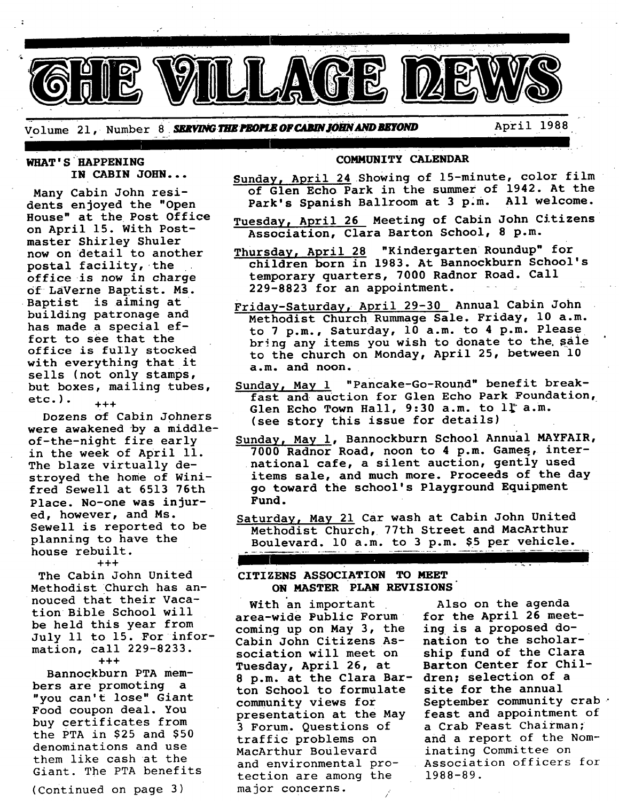Volume 21, Number 8 **SERVING THE PEOPLE OF CABIN JOHN AND BEYOND** April 1988

#### WHAT'S HAPPENING **IN CABIN JOHN...**

Many Cabin John residents enjoyed the "Open House" at the Post Office on April 15. With Postmaster Shirley Shuler now on detail to another postal facility, the office is now in charge Of LaVerne Baptist. Ms. Baptist is aiming at building patronage and has made a special effort to see that the office is fuIly stocked with everything that it sells (not only stamps, but boxes, mailing tubes,  $etc.$ ).  $_{+++}$ 

Dozens of Cabin Johners were awakened by a middleof-the-night fire early in the week of April 11. The blaze virtually destroyed the home of Winifred Sewell at 6513 76th Place. No-one was injured, however, and Ms. Sewell is reported to be planning to have the house rebuilt. +++

The Cabin John United Methodist Church has annouced that their Vacation Bible School will be held this year from July 11 to 15. For information, call 229-8233. +++

Bannockburn PTA members are promoting a "you can't lose" Giant Food coupon deal. You buy certificates from the PTA in \$25 and \$50 denominations and use them like cash at the Giant. The PTA benefits

(Continued on page 3)

#### **COMMUNITY** CALENDAR

- Sunday, April 24 Showing of 15-minute, color film of Glen Echo Park in the summer of 1942. At the Park's Spanish Ballroom at 3 p.m. All welcome.
- Tuesday, April 26 Meeting of Cabin John Citizens Association, Clara Barton School, 8 p.m.
- Thursday, April 28 "Kindergarten Roundup" for children born in 1983. At Bannockburn School's temporary quarters, 7000 Radnor Road. Call  $229-8823$  for an appointment.
- Friday-Saturday, April 29-30 Annual Cabin John Methodist Church Rummage Sale. Friday, 10 a.m. to 7 p.m., Saturday, 10 a.m. to 4 p.m. Please bring any items you wish to donate to the sale to the church on Monday, April 25, between 10 a.m. and noon.
- Sunday, May 1 "Pancake-Go-Round" benefit breakfast and auction for Glen Echo Park Foundation, Glen Echo Town Hall,  $9:30$  a.m. to  $1^{\circ}$  a.m. (see story this issue for details)
- Sunday, May I, Bannockburn School Annual MAYFAIR, 7000 Radnor Road, noon to 4 p.m. Games, international cafe, a silent auction, gently used items sale, and much more. Proceeds of the day go toward the school's Playground Equipment Fund.
- Saturday, May 21 Car wash at Cabin John United Methodist Church, 77th Street and MacArthur Boulevard. i0 a.m. to 3 p.m. \$5 per vehicle.

## **CITIZENS ASSOCIATION TO MEET ON MASTER PLAN REVISIONS**

With an important area-wide Public Forum coming up on May 3, the Cabin John Citizens Association will meet on Tuesday, April 26, at Barton Center for Chil-8 p.m. at the Clara Bar- dren; selection of a ton School to formulate site for the annual community views for presentation at the May 3 Forum. Questions of traffic problems on MacArthur Boulevard and environmental protection are among the major concerns.

Also on the agenda for the April 26 meeting is a proposed donation to the scholarship fund of the Clara September community crab  $\cdot$ feast and appointment of a Crab Feast Chairman; and a report of the Nominating Committee on Association officers for 1988-89.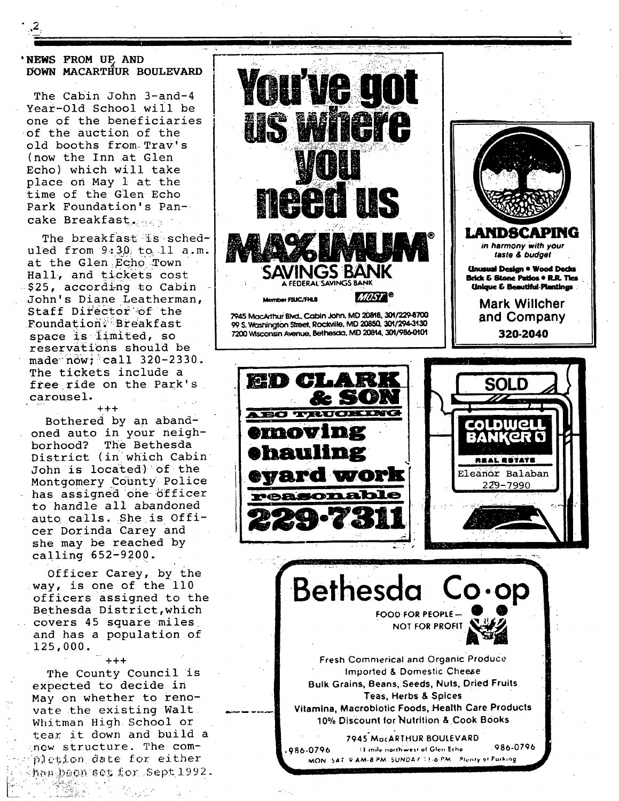## 'NEWS FROM UP, AND DOWN MACARTHUR BOULEVARD

The Cabin John 3-and-4 Year-Old School will be one of the beneficiaries of the auction of the old booths from Trav's (now the Inn at Glen Echo) which will take place on May 1 at the time of the Glen Echo Park Foundation's Pancake Breakfast ....

The breakfast is scheduled from  $9:30$ , to 11 a.m. at the Glen Echo Town Hall, and tickets cost \$25, according to Cabin John's Diane Leatherman, Staff Director of the Foundation: Breakfast space is limited, so reservations should be made  $now$ ; call  $320-2330$ . The tickets include a free ride on the Park's carousel.

 $+ + +$ Bothered by an abandoned auto in your neighborhood? The Bethesda District (in which Cabin John is located) of the Montgomery County Police has assigned one officer to handle all abandoned auto calls. She is Officer Dorinda Carey and she may be reached by calling 652-9200.

Officer Carey, by the way, is one of the 110 officers assigned to the Bethesda District, which covers 45 square miles and has a population of 125,000.

 $+ + +$ The County Council is expected to decide in May on whether to renovate the existing Walt. Whitman High School or tear it down and build a now structure. The complation date for either hau been set for Sept 1992.

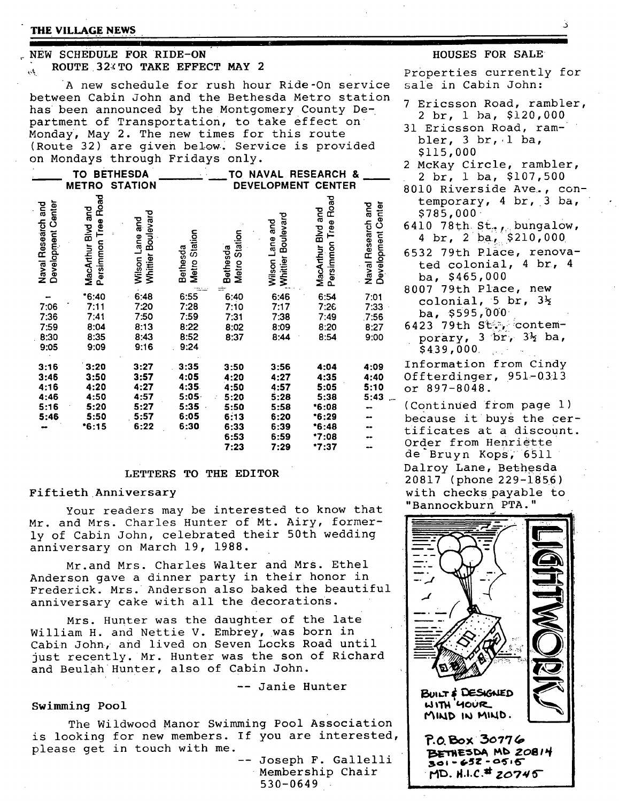#### **THE VILLAGE NEWS**

#### **. NEW SCHEDULE FOR RIDE-ON" ROUTE 32XTO TAKE EFFECT MAY 2**   $\mu_{\rm p}$

A new schedule for rush hour Ride-On service between Cabin John and the Bethesda Metro station has been announced by the Montgomery County Department of Transportation, to take effect on Monday, May 2. The new times for this route (Route 32) are given below. Service is provided on Mondays through Fridays only.

|                                              | <b>BETHESDA</b><br>то                                   |                                                      |                                                      | <b>RESEARCH</b><br>TO<br>NAVAL<br>&                                  |                                                                      |                                                                           |                                              |
|----------------------------------------------|---------------------------------------------------------|------------------------------------------------------|------------------------------------------------------|----------------------------------------------------------------------|----------------------------------------------------------------------|---------------------------------------------------------------------------|----------------------------------------------|
|                                              | <b>METRO</b>                                            | <b>STATION</b>                                       |                                                      |                                                                      |                                                                      | <b>DEVELOPMENT CENTER</b>                                                 |                                              |
| Development Center<br>Naval Research and     | Road<br>MacArthur Blvd and<br>Persimmon Tree            | Whittier Boulevard<br>Wilson Lane and                | Station<br>Bethesda<br><b>Metro</b>                  | Metro Station<br>Bethesda<br>eir.                                    | Whittier Boulevard<br>Wilson Lane and                                | Road<br>MacArthur Blvd and<br>Persimmon Tree                              | Development Center<br>Naval Research and     |
| -<br>7:06<br>7:36<br>7:59<br>8:30<br>9:05    | $*6:40$<br>7:11<br>7:41<br>8:04<br>8:35<br>9:09         | 6:48<br>7:20<br>7:50<br>8:13<br>8:43<br>9:16         | 6:55<br>7:28<br>7:59<br>8:22<br>8:52<br>9:24         | 6:40<br>7:10<br>7:31<br>8:02<br>8:37                                 | 6:46<br>7:17<br>7:38<br>8:09<br>8:44                                 | 6:54<br>7:26<br>7:49<br>8:20<br>8:54                                      | 7:01<br>7:33<br>7:56<br>8:27<br>9:00         |
| 3:16<br>3:46<br>4:16<br>4:46<br>5:16<br>5:46 | 3:20<br>3:50<br>4:20<br>4:50<br>5:20<br>5:50<br>$*6:15$ | 3:27<br>3:57<br>4:27<br>4:57<br>5:27<br>5:57<br>6:22 | 3:35<br>4:05<br>4:35<br>5:05<br>5:35<br>6:05<br>6:30 | 3:50<br>4:20<br>4:50<br>5:20<br>5:50<br>6:13<br>6:33<br>6:53<br>7:23 | 3:56<br>4:27<br>4:57<br>5:28<br>5:58<br>6:20<br>6:39<br>6:59<br>7:29 | 4:04<br>4:35<br>5:05<br>5:38<br>•6:08<br>*6:29<br>*6:48<br>*7:08<br>*7:37 | 4:09<br>4:40<br>5:10<br>5:43<br><br>--<br>œ۰ |

### **LETTERS TO THE EDITOR**

## Fiftieth Anniversary

Your readers may be interested to know that Mr. and Mrs. Charles Hunter of Mt. Airy, formerly of Cabin John, celebrated their 50th wedding anniversary on March 19, 1988.

Mr.and Mrs. Charles Walter and Mrs. Ethel Anderson gave a dinner party in their honor in Frederick. Mrs. Anderson also baked the beautiful anniversary cake with all the decorations.

Mrs. Hunter was the daughter of the late William H. and Nettie V. Embrey, was born in Cabin John, and lived on Seven Locks Road until just recently. Mr. Hunter was the son of Richard and Beulah Hunter, also of Cabin John.

-- Janie Hunter

#### Swimming Pool

The Wildwood Manor Swimming Pool Association is looking for new members. If you are interested, please get in touch with me.

-- Joseph F. Gallelli Membership Chair 530-0649

#### **HOUSES FOR SALE**

Properties currently for sale in Cabin John:

- 7 Ericsson Road, rambler, 2 br, 1 ba, \$120,000
- 31 Ericsson Road, rambler,  $3 \text{ br}$ ,  $1 \text{ ba}$ , \$115,000
- 2 McKay Circle, rambler, 2 br, 1 ba, \$107,500
- 8010 Riverside Ave., contemporary, 4 br, 3 ba, \$785,000"
- 6410 78th.  $St_r$ , bungalow, 4 br,  $2$  ba,  $$210,000$
- 6532 79th Place, renovated colonial, 4 br, 4 ba, \$465,000
- 8007 79th Place, new colonial, 5 br,  $3\frac{1}{2}$ ba,  $$595,000$
- 6423 79th St., contemporary,  $3$  br,  $3\frac{1}{2}$  ba, \$439,000

Information from Cindy Offterdinger, 951-0313 or 897-8048.

(Continued from page 1) because it buys the certificates at a discount. Order from Henriëtte de Bruyn Kops, 6511 Dalroy Lane, Bethesda 20817 (phone 229-1856) with checks payable to "Bannockburn PTA."



.... ,, ,, | •